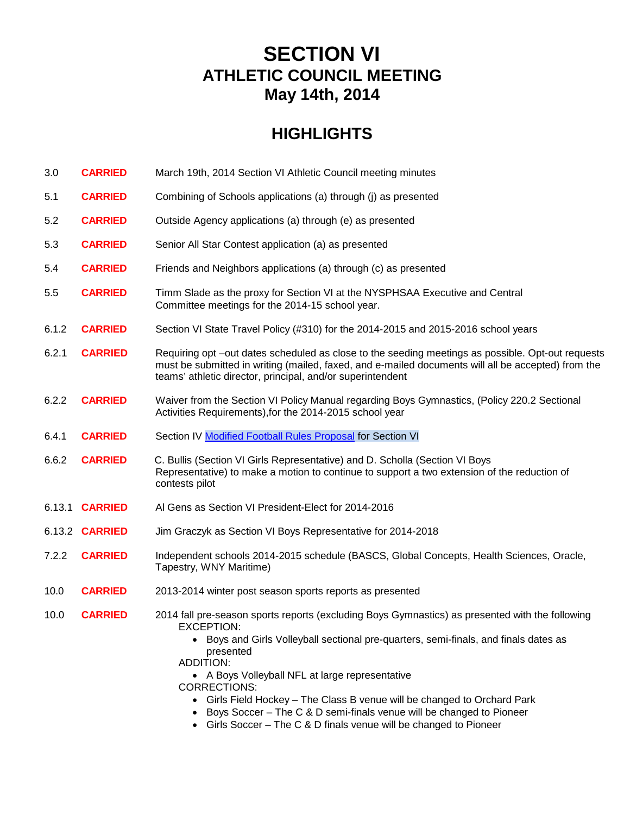# **SECTION VI ATHLETIC COUNCIL MEETING May 14th, 2014**

# **HIGHLIGHTS**

| 3.0    | <b>CARRIED</b>        | March 19th, 2014 Section VI Athletic Council meeting minutes                                                                                                                                                                                                                                              |
|--------|-----------------------|-----------------------------------------------------------------------------------------------------------------------------------------------------------------------------------------------------------------------------------------------------------------------------------------------------------|
| 5.1    | <b>CARRIED</b>        | Combining of Schools applications (a) through (j) as presented                                                                                                                                                                                                                                            |
| 5.2    | <b>CARRIED</b>        | Outside Agency applications (a) through (e) as presented                                                                                                                                                                                                                                                  |
| 5.3    | <b>CARRIED</b>        | Senior All Star Contest application (a) as presented                                                                                                                                                                                                                                                      |
| 5.4    | <b>CARRIED</b>        | Friends and Neighbors applications (a) through (c) as presented                                                                                                                                                                                                                                           |
| 5.5    | <b>CARRIED</b>        | Timm Slade as the proxy for Section VI at the NYSPHSAA Executive and Central<br>Committee meetings for the 2014-15 school year.                                                                                                                                                                           |
| 6.1.2  | <b>CARRIED</b>        | Section VI State Travel Policy (#310) for the 2014-2015 and 2015-2016 school years                                                                                                                                                                                                                        |
| 6.2.1  | <b>CARRIED</b>        | Requiring opt –out dates scheduled as close to the seeding meetings as possible. Opt-out requests<br>must be submitted in writing (mailed, faxed, and e-mailed documents will all be accepted) from the<br>teams' athletic director, principal, and/or superintendent                                     |
| 6.2.2  | <b>CARRIED</b>        | Waiver from the Section VI Policy Manual regarding Boys Gymnastics, (Policy 220.2 Sectional<br>Activities Requirements), for the 2014-2015 school year                                                                                                                                                    |
| 6.4.1  | <b>CARRIED</b>        | Section IV Modified Football Rules Proposal for Section VI                                                                                                                                                                                                                                                |
| 6.6.2  | <b>CARRIED</b>        | C. Bullis (Section VI Girls Representative) and D. Scholla (Section VI Boys<br>Representative) to make a motion to continue to support a two extension of the reduction of<br>contests pilot                                                                                                              |
| 6.13.1 | <b>CARRIED</b>        | Al Gens as Section VI President-Elect for 2014-2016                                                                                                                                                                                                                                                       |
|        | 6.13.2 <b>CARRIED</b> | Jim Graczyk as Section VI Boys Representative for 2014-2018                                                                                                                                                                                                                                               |
| 7.2.2  | <b>CARRIED</b>        | Independent schools 2014-2015 schedule (BASCS, Global Concepts, Health Sciences, Oracle,<br>Tapestry, WNY Maritime)                                                                                                                                                                                       |
| 10.0   | <b>CARRIED</b>        | 2013-2014 winter post season sports reports as presented                                                                                                                                                                                                                                                  |
| 10.0   | <b>CARRIED</b>        | 2014 fall pre-season sports reports (excluding Boys Gymnastics) as presented with the following<br>EXCEPTION:<br>• Boys and Girls Volleyball sectional pre-quarters, semi-finals, and finals dates as<br>presented<br>ADDITION:<br>• A Boys Volleyball NFL at large representative<br><b>CORRECTIONS:</b> |
|        |                       | • Girls Field Hockey - The Class B venue will be changed to Orchard Park                                                                                                                                                                                                                                  |

- Boys Soccer The C & D semi-finals venue will be changed to Pioneer
- Girls Soccer The C & D finals venue will be changed to Pioneer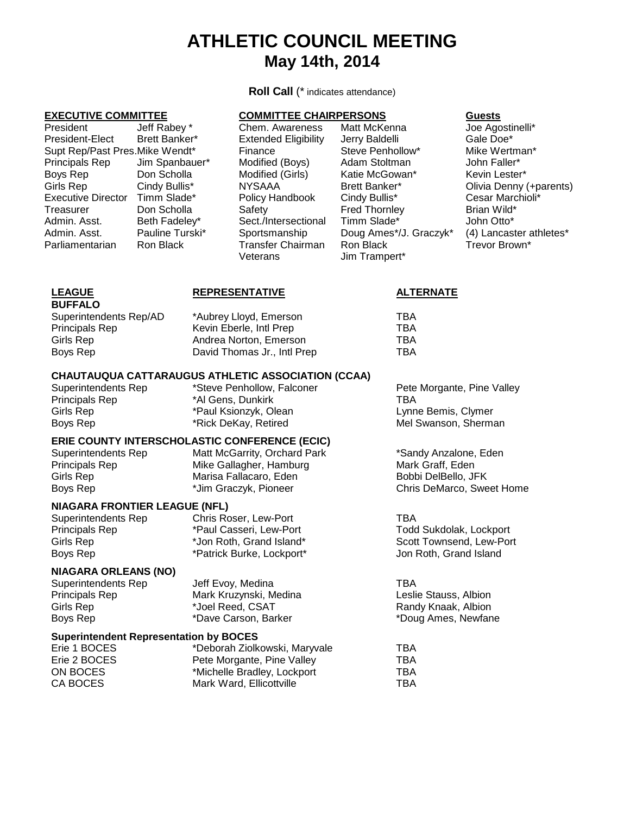# **ATHLETIC COUNCIL MEETING May 14th, 2014**

**Roll Call** (\* indicates attendance)

| President                      | Jeff Rabey *    |
|--------------------------------|-----------------|
| President-Elect                | Brett Banker*   |
| Supt Rep/Past Pres.Mike Wendt* |                 |
| Principals Rep                 | Jim Spanbauer*  |
| Boys Rep                       | Don Scholla     |
| Girls Rep                      | Cindy Bullis*   |
| <b>Executive Director</b>      | Timm Slade*     |
| Treasurer                      | Don Scholla     |
| Admin. Asst.                   | Beth Fadeley*   |
| Admin. Asst.                   | Pauline Turski* |
| Parliamentarian                | Ron Black       |
|                                |                 |

### **EXECUTIVE COMMITTEE COMMITTEE CHAIRPERSONS Guests**

Modified (Boys) Sect./Intersectional

Chem. Awareness Matt McKenna and Joe Agostinelli\*<br>
Extended Eligibility Jerry Baldelli and Gale Doe\* Extended Eligibility Jerry Baldelli Cale Doe\* Gale Doe\* Steve Penhollow\* Gale Doe\* Steve Penhollow\* Gale Doe\* Steve Penhollow\* Steve Mike Wertman\* Finance Steve Penhollow\* Mike Wertm<br>Modified (Boys) Adam Stoltman Modified (Boys) Modified (Girls) Katie McGowan\* Kevin Lester\*<br>
NYSAAA Brett Banker\* Clivia Denny NYSAAA Brett Banker\* Olivia Denny (+parents)<br>
Policy Handbook Cindy Bullis\* Cesar Marchioli\* Policy Handbook Cindy Bullis\* Cesar Marchiolis Cesar Marchiolis<br>Safety Cindy Fred Thornley Chand Brian Wild\* Treasurer Don Scholla Safety Fred Thornley Brian Wild\* Sportsmanship Doug Ames\*/J. Graczyk\* (4) Lancaster athletes\* Transfer Chairman Ron Black Trevor Brown\*<br>Veterans Trampert\* Trevor Brown Jim Trampert\*

| <b>LEAGUE</b>          | <b>REPRESENTATIVE</b>       | <b>ALTERNATE</b> |
|------------------------|-----------------------------|------------------|
| <b>BUFFALO</b>         |                             |                  |
| Superintendents Rep/AD | *Aubrey Lloyd, Emerson      | TBA              |
| <b>Principals Rep</b>  | Kevin Eberle, Intl Prep     | TBA              |
| Girls Rep              | Andrea Norton, Emerson      | TBA              |
| Boys Rep               | David Thomas Jr., Intl Prep | TBA              |
|                        |                             |                  |

# **CHAUTAUQUA CATTARAUGUS ATHLETIC ASSOCIATION (CCAA)**

Girls Rep \*Paul Ksionzyk, Olean Lynne Bemis, Clymer

Principals Rep \*Al Gens, Dunkirk TBA

# **ERIE COUNTY INTERSCHOLASTIC CONFERENCE (ECIC)**

| Matt McGarrity, Orchard Par |
|-----------------------------|
| Mike Gallagher, Hamburg     |
| Marisa Fallacaro, Eden      |
| *Jim Graczyk, Pioneer       |
|                             |

**NIAGARA FRONTIER LEAGUE (NFL)** Superintendents Rep Chris Roser, Lew-Port TBA Principals Rep \*Paul Casseri, Lew-Port Todd Sukdolak, Lockport (Sirls Rep in the North Casseri, Lew-Port 1997)<br>Girls Rep 1997 \*Jon Roth, Grand Island\* 1998 Scott Townsend, Lew-Port \*Jon Roth, Grand Island\* Boys Rep \*Patrick Burke, Lockport\* Jon Roth, Grand Island

### **NIAGARA ORLEANS (NO)**

| Superintendents Rep   | Jeff Evoy, Medina      | TBA                   |
|-----------------------|------------------------|-----------------------|
| <b>Principals Rep</b> | Mark Kruzynski, Medina | Leslie Stauss, Albion |
| Girls Rep             | *Joel Reed, CSAT       | Randy Knaak, Albion   |
| Boys Rep              | *Dave Carson. Barker   | *Doug Ames, Newfane   |

### **Superintendent Representation by BOCES**

|                             | TBA                           |
|-----------------------------|-------------------------------|
| Pete Morgante, Pine Valley  | TBA                           |
| *Michelle Bradley, Lockport | TBA                           |
| Mark Ward, Ellicottville    | TBA                           |
|                             | *Deborah Ziolkowski, Maryvale |

Superintendents Rep \*Steve Penhollow, Falconer The Pete Morgante, Pine Valley Mel Swanson, Sherman

> k \*Sandy Anzalone, Eden Mark Graff, Eden Bobbi DelBello, JFK Chris DeMarco, Sweet Home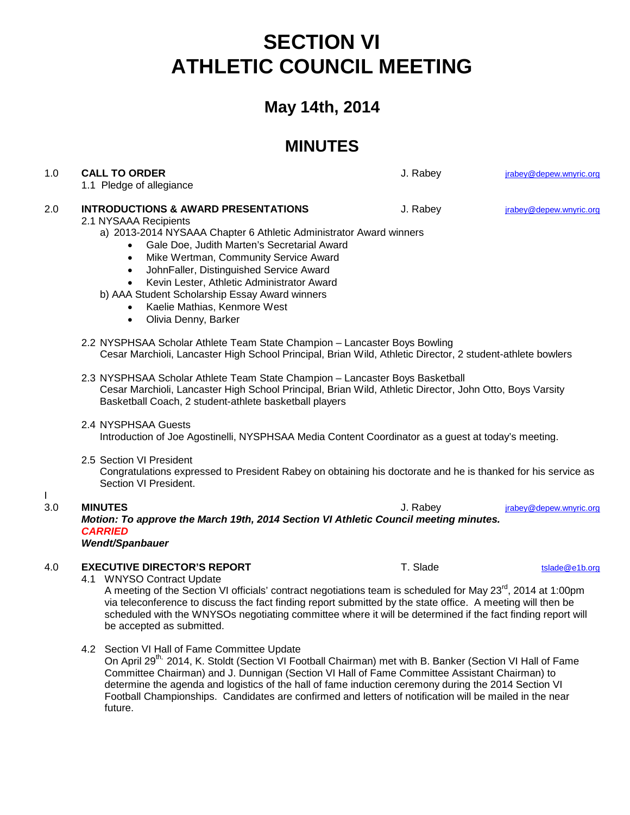# **SECTION VI ATHLETIC COUNCIL MEETING**

# **May 14th, 2014**

# **MINUTES**

| 1.0      | <b>CALL TO ORDER</b><br>1.1 Pledge of allegiance                                                                                                                                                                                                                                                                                                                                                                                                                                             | J. Rabey | jrabey@depew.wnyric.org |  |
|----------|----------------------------------------------------------------------------------------------------------------------------------------------------------------------------------------------------------------------------------------------------------------------------------------------------------------------------------------------------------------------------------------------------------------------------------------------------------------------------------------------|----------|-------------------------|--|
| 2.0      | <b>INTRODUCTIONS &amp; AWARD PRESENTATIONS</b><br>2.1 NYSAAA Recipients<br>a) 2013-2014 NYSAAA Chapter 6 Athletic Administrator Award winners<br>Gale Doe, Judith Marten's Secretarial Award<br>$\bullet$<br>Mike Wertman, Community Service Award<br>$\bullet$<br>JohnFaller, Distinguished Service Award<br>$\bullet$<br>Kevin Lester, Athletic Administrator Award<br>b) AAA Student Scholarship Essay Award winners<br>Kaelie Mathias, Kenmore West<br>Olivia Denny, Barker<br>$\bullet$ | J. Rabey | jrabey@depew.wnyric.org |  |
|          | 2.2 NYSPHSAA Scholar Athlete Team State Champion - Lancaster Boys Bowling<br>Cesar Marchioli, Lancaster High School Principal, Brian Wild, Athletic Director, 2 student-athlete bowlers                                                                                                                                                                                                                                                                                                      |          |                         |  |
|          | 2.3 NYSPHSAA Scholar Athlete Team State Champion - Lancaster Boys Basketball<br>Cesar Marchioli, Lancaster High School Principal, Brian Wild, Athletic Director, John Otto, Boys Varsity<br>Basketball Coach, 2 student-athlete basketball players                                                                                                                                                                                                                                           |          |                         |  |
|          | 2.4 NYSPHSAA Guests<br>Introduction of Joe Agostinelli, NYSPHSAA Media Content Coordinator as a guest at today's meeting.                                                                                                                                                                                                                                                                                                                                                                    |          |                         |  |
|          | 2.5 Section VI President<br>Congratulations expressed to President Rabey on obtaining his doctorate and he is thanked for his service as<br>Section VI President.                                                                                                                                                                                                                                                                                                                            |          |                         |  |
| L<br>3.0 | <b>MINUTES</b><br>Motion: To approve the March 19th, 2014 Section VI Athletic Council meeting minutes.<br><b>CARRIED</b><br>Wendt/Spanbauer                                                                                                                                                                                                                                                                                                                                                  | J. Rabey | jrabey@depew.wnyric.org |  |
| 4.0      | <b>EXECUTIVE DIRECTOR'S REPORT</b><br>4.1 WNYSO Contract Update<br>A meeting of the Section VI officials' contract negotiations team is scheduled for May 23rd, 2014 at 1:00pm<br>via teleconference to discuss the fact finding report submitted by the state office. A meeting will then be<br>scheduled with the WNYSOs negotiating committee where it will be determined if the fact finding report will<br>be accepted as submitted.                                                    | T. Slade | tslade@e1b.org          |  |
|          | 4.2 Section VI Hall of Fame Committee Update<br>On April 00 <sup>th</sup> , 004.4 K, Otal H, (On the VI Fasthell Obsinese) materials D. Depley (On the VI Hell of Fe                                                                                                                                                                                                                                                                                                                         |          |                         |  |

On April 29<sup>th,</sup> 2014, K. Stoldt (Section VI Football Chairman) met with B. Banker (Section VI Hall of Fame Committee Chairman) and J. Dunnigan (Section VI Hall of Fame Committee Assistant Chairman) to determine the agenda and logistics of the hall of fame induction ceremony during the 2014 Section VI Football Championships. Candidates are confirmed and letters of notification will be mailed in the near future.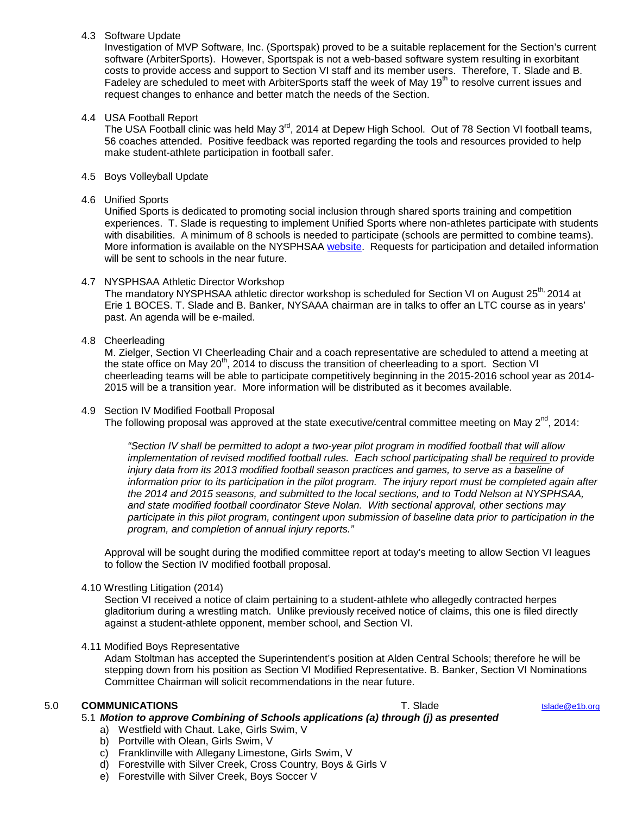# 4.3 Software Update

Investigation of MVP Software, Inc. (Sportspak) proved to be a suitable replacement for the Section's current software (ArbiterSports). However, Sportspak is not a web-based software system resulting in exorbitant costs to provide access and support to Section VI staff and its member users. Therefore, T. Slade and B. Fadeley are scheduled to meet with ArbiterSports staff the week of May 19<sup>th</sup> to resolve current issues and request changes to enhance and better match the needs of the Section.

## 4.4 USA Football Report

The USA Football clinic was held May 3<sup>rd</sup>, 2014 at Depew High School. Out of 78 Section VI football teams, 56 coaches attended. Positive feedback was reported regarding the tools and resources provided to help make student-athlete participation in football safer.

## 4.5 Boys Volleyball Update

### 4.6 Unified Sports

Unified Sports is dedicated to promoting social inclusion through shared sports training and competition experiences. T. Slade is requesting to implement Unified Sports where non-athletes participate with students with disabilities. A minimum of 8 schools is needed to participate (schools are permitted to combine teams). More information is available on the NYSPHSAA [website.](http://www.nysphsaa.org/News/Article.aspx?id=73177ee4-36d6-4dd0-99a3-09c7586a5e3c) Requests for participation and detailed information will be sent to schools in the near future.

## 4.7 NYSPHSAA Athletic Director Workshop

The mandatory NYSPHSAA athletic director workshop is scheduled for Section VI on August 25<sup>th,</sup> 2014 at Erie 1 BOCES. T. Slade and B. Banker, NYSAAA chairman are in talks to offer an LTC course as in years' past. An agenda will be e-mailed.

## 4.8 Cheerleading

M. Zielger, Section VI Cheerleading Chair and a coach representative are scheduled to attend a meeting at the state office on May 20<sup>th</sup>, 2014 to discuss the transition of cheerleading to a sport. Section VI cheerleading teams will be able to participate competitively beginning in the 2015-2016 school year as 2014- 2015 will be a transition year. More information will be distributed as it becomes available.

### 4.9 Section IV Modified Football Proposal

The following proposal was approved at the state executive/central committee meeting on May  $2^{nd}$ , 2014:

*"Section IV shall be permitted to adopt a two-year pilot program in modified football that will allow*  implementation of revised modified football rules. Each school participating shall be required to provide injury data from its 2013 modified football season practices and games, to serve as a baseline of *information prior to its participation in the pilot program. The injury report must be completed again after the 2014 and 2015 seasons, and submitted to the local sections, and to Todd Nelson at NYSPHSAA, and state modified football coordinator Steve Nolan. With sectional approval, other sections may participate in this pilot program, contingent upon submission of baseline data prior to participation in the program, and completion of annual injury reports."*

Approval will be sought during the modified committee report at today's meeting to allow Section VI leagues to follow the Section IV modified football proposal.

# 4.10 Wrestling Litigation (2014)

Section VI received a notice of claim pertaining to a student-athlete who allegedly contracted herpes gladitorium during a wrestling match. Unlike previously received notice of claims, this one is filed directly against a student-athlete opponent, member school, and Section VI.

### 4.11 Modified Boys Representative

Adam Stoltman has accepted the Superintendent's position at Alden Central Schools; therefore he will be stepping down from his position as Section VI Modified Representative. B. Banker, Section VI Nominations Committee Chairman will solicit recommendations in the near future.

# 5.0 **COMMUNICATIONS** T. Slade [tslade@e1b.org](mailto:tslade@e1b.org)

- 5.1 *Motion to approve Combining of Schools applications (a) through (j) as presented*
	- a) Westfield with Chaut. Lake, Girls Swim, V
	- b) Portville with Olean, Girls Swim, V
	- c) Franklinville with Allegany Limestone, Girls Swim, V
	- d) Forestville with Silver Creek, Cross Country, Boys & Girls V
	- e) Forestville with Silver Creek, Boys Soccer V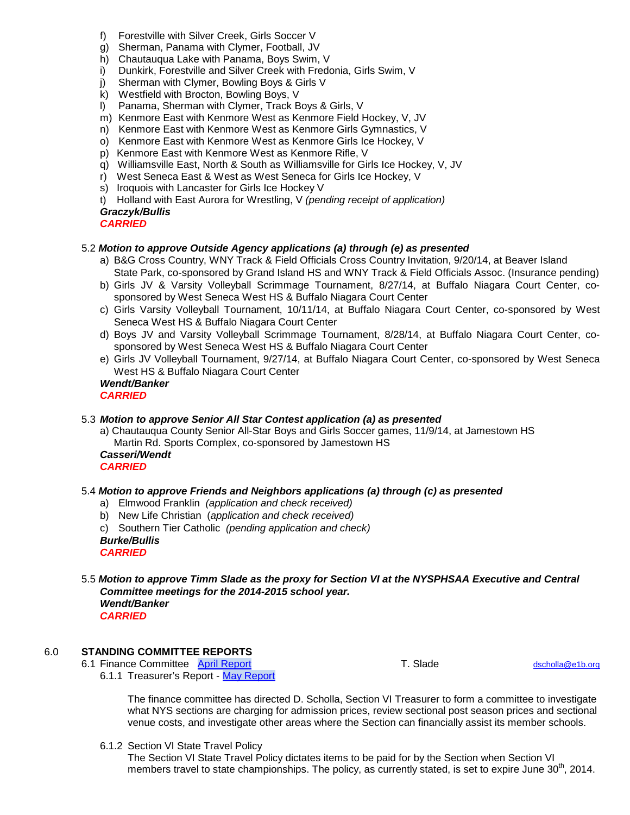- f) Forestville with Silver Creek, Girls Soccer V
- g) Sherman, Panama with Clymer, Football, JV
- h) Chautauqua Lake with Panama, Boys Swim, V<br>i) Dunkirk, Forestville and Silver Creek with Fred
- Dunkirk, Forestville and Silver Creek with Fredonia, Girls Swim, V
- j) Sherman with Clymer, Bowling Boys & Girls V
- k) Westfield with Brocton, Bowling Boys, V
- l) Panama, Sherman with Clymer, Track Boys & Girls, V
- m) Kenmore East with Kenmore West as Kenmore Field Hockey, V, JV
- n) Kenmore East with Kenmore West as Kenmore Girls Gymnastics, V
- o) Kenmore East with Kenmore West as Kenmore Girls Ice Hockey, V
- p) Kenmore East with Kenmore West as Kenmore Rifle, V
- q) Williamsville East, North & South as Williamsville for Girls Ice Hockey, V, JV
- r) West Seneca East & West as West Seneca for Girls Ice Hockey, V
- s) Iroquois with Lancaster for Girls Ice Hockey V
- t) Holland with East Aurora for Wrestling, V *(pending receipt of application)*

### *Graczyk/Bullis*

*CARRIED*

## 5.2 *Motion to approve Outside Agency applications (a) through (e) as presented*

- a) B&G Cross Country, WNY Track & Field Officials Cross Country Invitation, 9/20/14, at Beaver Island State Park, co-sponsored by Grand Island HS and WNY Track & Field Officials Assoc. (Insurance pending)
- b) Girls JV & Varsity Volleyball Scrimmage Tournament, 8/27/14, at Buffalo Niagara Court Center, cosponsored by West Seneca West HS & Buffalo Niagara Court Center
- c) Girls Varsity Volleyball Tournament, 10/11/14, at Buffalo Niagara Court Center, co-sponsored by West Seneca West HS & Buffalo Niagara Court Center
- d) Boys JV and Varsity Volleyball Scrimmage Tournament, 8/28/14, at Buffalo Niagara Court Center, cosponsored by West Seneca West HS & Buffalo Niagara Court Center
- e) Girls JV Volleyball Tournament, 9/27/14, at Buffalo Niagara Court Center, co-sponsored by West Seneca West HS & Buffalo Niagara Court Center *Wendt/Banker*

*CARRIED*

# 5.3 *Motion to approve Senior All Star Contest application (a) as presented*

a) Chautauqua County Senior All-Star Boys and Girls Soccer games, 11/9/14, at Jamestown HS Martin Rd. Sports Complex, co-sponsored by Jamestown HS

*Casseri/Wendt CARRIED*

# 5.4 *Motion to approve Friends and Neighbors applications (a) through (c) as presented*

- a) Elmwood Franklin *(application and check received)*
- b) New Life Christian (*application and check received)*
- c) Southern Tier Catholic *(pending application and check)*
- *Burke/Bullis*

*CARRIED*

5.5 *Motion to approve Timm Slade as the proxy for Section VI at the NYSPHSAA Executive and Central Committee meetings for the 2014-2015 school year. Wendt/Banker CARRIED*

# 6.0 **STANDING COMMITTEE REPORTS**

6.1 Finance Committee [April Report](http://www.section6.e1b.org/cms/lib/NY19000854/Centricity/Domain/14/Minutes%20Finance/Finance13-4.pdf) T. Slade T. Slade [dscholla@e1b.org](mailto:dscholla@e1b.org)

6.1.1 Treasurer's Report - [May Report](http://www.section6.e1b.org/cms/lib/NY19000854/Centricity/Domain/14/Minutes%20Finance/Treas.Report_5.2014.pdf)

The finance committee has directed D. Scholla, Section VI Treasurer to form a committee to investigate what NYS sections are charging for admission prices, review sectional post season prices and sectional venue costs, and investigate other areas where the Section can financially assist its member schools.

6.1.2 Section VI State Travel Policy

The Section VI State Travel Policy dictates items to be paid for by the Section when Section VI members travel to state championships. The policy, as currently stated, is set to expire June 30<sup>th</sup>, 2014.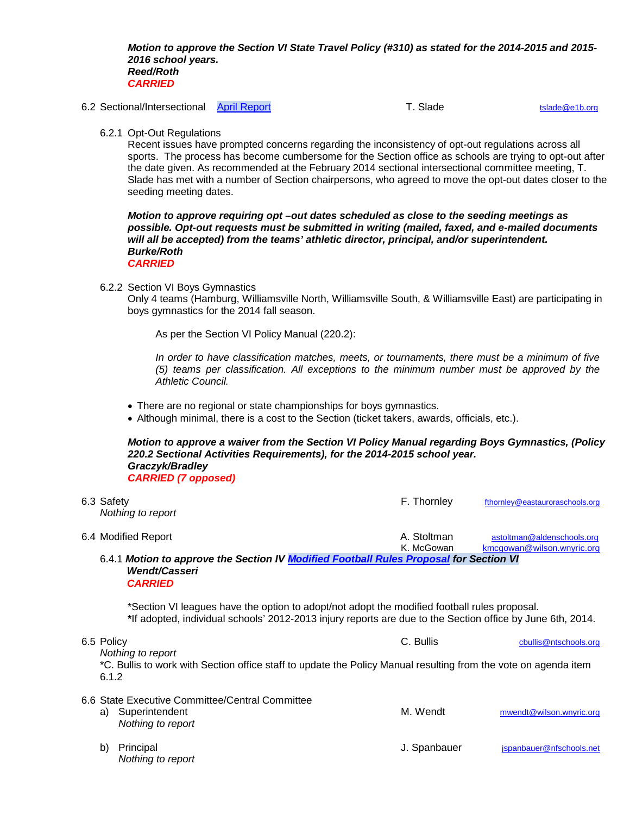*Motion to approve the Section VI State Travel Policy (#310) as stated for the 2014-2015 and 2015- 2016 school years. Reed/Roth CARRIED*

6.2 Sectional/Intersectional [April Report](http://www.section6.e1b.org/cms/lib/NY19000854/Centricity/Domain/14/Minutes%20Sectional%20Intersectional/SecIntsec14.4.pdf) T. Slade T. Slade [tslade@e1b.org](mailto:tslade@e1b.org)

6.2.1 Opt-Out Regulations

Recent issues have prompted concerns regarding the inconsistency of opt-out regulations across all sports. The process has become cumbersome for the Section office as schools are trying to opt-out after the date given. As recommended at the February 2014 sectional intersectional committee meeting, T. Slade has met with a number of Section chairpersons, who agreed to move the opt-out dates closer to the seeding meeting dates.

*Motion to approve requiring opt –out dates scheduled as close to the seeding meetings as possible. Opt-out requests must be submitted in writing (mailed, faxed, and e-mailed documents will all be accepted) from the teams' athletic director, principal, and/or superintendent. Burke/Roth CARRIED*

6.2.2 Section VI Boys Gymnastics

*Nothing to report*

Only 4 teams (Hamburg, Williamsville North, Williamsville South, & Williamsville East) are participating in boys gymnastics for the 2014 fall season.

As per the Section VI Policy Manual (220.2):

*In order to have classification matches, meets, or tournaments, there must be a minimum of five (5) teams per classification. All exceptions to the minimum number must be approved by the Athletic Council.*

- There are no regional or state championships for boys gymnastics.
- Although minimal, there is a cost to the Section (ticket takers, awards, officials, etc.).

*Motion to approve a waiver from the Section VI Policy Manual regarding Boys Gymnastics, (Policy 220.2 Sectional Activities Requirements), for the 2014-2015 school year. Graczyk/Bradley CARRIED (7 opposed)*

| 6.3 Safety<br>Nothing to report                                                                                                                                                                            | F. Thornley               | fthornley@eastauroraschools.org                          |
|------------------------------------------------------------------------------------------------------------------------------------------------------------------------------------------------------------|---------------------------|----------------------------------------------------------|
| 6.4 Modified Report                                                                                                                                                                                        | A. Stoltman<br>K. McGowan | astoltman@aldenschools.org<br>kmcgowan@wilson.wnyric.org |
| 6.4.1 Motion to approve the Section IV Modified Football Rules Proposal for Section VI<br><b>Wendt/Casseri</b><br><b>CARRIED</b>                                                                           |                           |                                                          |
| *Section VI leagues have the option to adopt/not adopt the modified football rules proposal.<br>*If adopted, individual schools' 2012-2013 injury reports are due to the Section office by June 6th, 2014. |                           |                                                          |
| 6.5 Policy<br>Nothing to report                                                                                                                                                                            | C. Bullis                 | cbullis@ntschools.org                                    |
| *C. Bullis to work with Section office staff to update the Policy Manual resulting from the vote on agenda item<br>6.1.2                                                                                   |                           |                                                          |
| 6.6 State Executive Committee/Central Committee<br>Superintendent<br>a)<br>Nothing to report                                                                                                               | M. Wendt                  | mwendt@wilson.wnyric.org                                 |

b) Principal and The Contract of the Spanbauer and J. Spanbauer and ispanbauer generalism is a set of the Spanbauer and The Tennes of the Tennes of the Tennes of the Tennes of the Tennes of the Tennes of the Tennes of the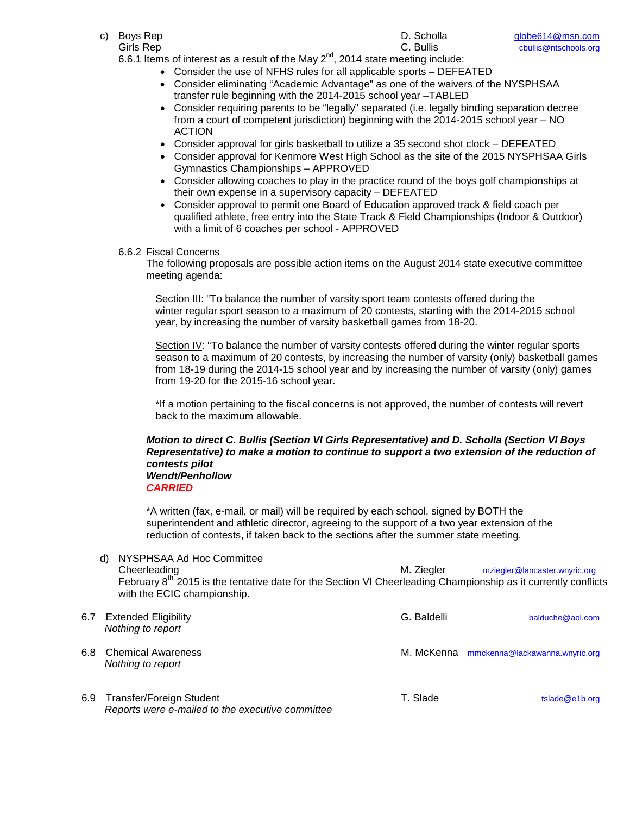- -

Girls Rep C. Bullis [cbullis@ntschools.org](mailto:cbullis@ntschools.org) 6.6.1 Items of interest as a result of the May  $2^{nd}$ , 2014 state meeting include:

- Consider the use of NFHS rules for all applicable sports DEFEATED
- Consider eliminating "Academic Advantage" as one of the waivers of the NYSPHSAA transfer rule beginning with the 2014-2015 school year –TABLED
- Consider requiring parents to be "legally" separated (i.e. legally binding separation decree from a court of competent jurisdiction) beginning with the 2014-2015 school year – NO ACTION
- Consider approval for girls basketball to utilize a 35 second shot clock DEFEATED
- Consider approval for Kenmore West High School as the site of the 2015 NYSPHSAA Girls Gymnastics Championships – APPROVED
- Consider allowing coaches to play in the practice round of the boys golf championships at their own expense in a supervisory capacity – DEFEATED
- Consider approval to permit one Board of Education approved track & field coach per qualified athlete, free entry into the State Track & Field Championships (Indoor & Outdoor) with a limit of 6 coaches per school - APPROVED

### 6.6.2 Fiscal Concerns

The following proposals are possible action items on the August 2014 state executive committee meeting agenda:

Section III: "To balance the number of varsity sport team contests offered during the winter regular sport season to a maximum of 20 contests, starting with the 2014-2015 school year, by increasing the number of varsity basketball games from 18-20.

Section IV: "To balance the number of varsity contests offered during the winter regular sports season to a maximum of 20 contests, by increasing the number of varsity (only) basketball games from 18-19 during the 2014-15 school year and by increasing the number of varsity (only) games from 19-20 for the 2015-16 school year.

\*If a motion pertaining to the fiscal concerns is not approved, the number of contests will revert back to the maximum allowable.

# *Motion to direct C. Bullis (Section VI Girls Representative) and D. Scholla (Section VI Boys Representative) to make a motion to continue to support a two extension of the reduction of contests pilot Wendt/Penhollow*

*CARRIED*

*Reports were e-mailed to the executive committee*

\*A written (fax, e-mail, or mail) will be required by each school, signed by BOTH the superintendent and athletic director, agreeing to the support of a two year extension of the reduction of contests, if taken back to the sections after the summer state meeting.

d) NYSPHSAA Ad Hoc Committee Cheerleading M. Ziegler [mziegler@lancaster.wnyric.org](mailto:mziegler@lancaster.wnyric.org) February 8<sup>th, 2</sup>015 is the tentative date for the Section VI Cheerleading Championship as it currently conflicts with the ECIC championship.

| 6.7 | <b>Extended Eligibility</b><br>Nothing to report | G. Baldelli | balduche@aol.com                          |
|-----|--------------------------------------------------|-------------|-------------------------------------------|
| 6.8 | <b>Chemical Awareness</b><br>Nothing to report   |             | M. McKenna mmckenna@lackawanna.wnyric.org |
|     | 6.9 Transfer/Foreign Student                     | T. Slade    | tslade@e1b.org                            |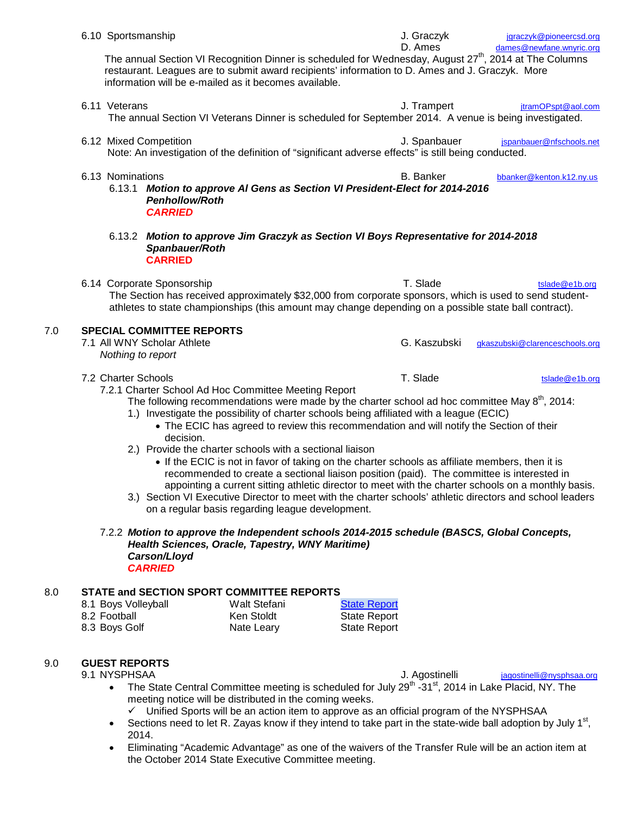- 6.10 Sportsmanship **6.10 Sportsmanship** J. Graczyk *[jgraczyk@pioneercsd.org](mailto:%20jgraczyk@pioneercsd.org)* D. Ames [dames@newfane.wnyric.org](mailto:dames@newfane.wnyric.org) The annual Section VI Recognition Dinner is scheduled for Wednesday, August 27<sup>th</sup>, 2014 at The Columns restaurant. Leagues are to submit award recipients' information to D. Ames and J. Graczyk. More information will be e-mailed as it becomes available. 6.11 Veterans **Galactic Except Contract Contract Contract Contract Contract Contract Contract Contract Contract Contract Contract Contract Contract Contract Contract Contract Contract Contract Contract Contract Contract Co** The annual Section VI Veterans Dinner is scheduled for September 2014. A venue is being investigated. 6.12 Mixed Competition **Accord Competition** J. Spanbauer *j*spanbauer@nfschools.net Note: An investigation of the definition of "significant adverse effects" is still being conducted. 6.13 Nominations B. Banker [bbanker@kenton.k12.ny.us](mailto:bbanker@kenton.k12.ny.us) 6.13.1 *Motion to approve Al Gens as Section VI President-Elect for 2014-2016 Penhollow/Roth CARRIED* 6.13.2 *Motion to approve Jim Graczyk as Section VI Boys Representative for 2014-2018 Spanbauer/Roth* **CARRIED** 6.14 Corporate Sponsorship T. Slade T. Slade [tslade@e1b.org](mailto:tslade@e1b.org) The Section has received approximately \$32,000 from corporate sponsors, which is used to send studentathletes to state championships (this amount may change depending on a possible state ball contract). 7.0 **SPECIAL COMMITTEE REPORTS** G. Kaszubski [gkaszubski@clarenceschools.org](mailto:gkaszubski@clarenceschools.org) *Nothing to report* 7.2 Charter Schools **T.** Slade the state of the state of the state of the state of the state of the state of the state of the state of the state of the state of the state of the state of the state of the state of the state 7.2.1 Charter School Ad Hoc Committee Meeting Report The following recommendations were made by the charter school ad hoc committee May  $8<sup>th</sup>$ , 2014: 1.) Investigate the possibility of charter schools being affiliated with a league (ECIC) • The ECIC has agreed to review this recommendation and will notify the Section of their
	- decision.
	- 2.) Provide the charter schools with a sectional liaison
		- If the ECIC is not in favor of taking on the charter schools as affiliate members, then it is recommended to create a sectional liaison position (paid). The committee is interested in appointing a current sitting athletic director to meet with the charter schools on a monthly basis.
	- 3.) Section VI Executive Director to meet with the charter schools' athletic directors and school leaders on a regular basis regarding league development.

### 7.2.2 *Motion to approve the Independent schools 2014-2015 schedule (BASCS, Global Concepts, Health Sciences, Oracle, Tapestry, WNY Maritime) Carson/Lloyd CARRIED*

# 8.0 **STATE and SECTION SPORT COMMITTEE REPORTS**

| 8.1 Boys Volleyball | Walt Stefani | <b>State Report</b> |
|---------------------|--------------|---------------------|
| 8.2 Football        | Ken Stoldt   | <b>State Report</b> |
| 8.3 Boys Golf       | Nate Leary   | <b>State Report</b> |

# 9.0 **GUEST REPORTS**

J. Agostinelli [jagostinelli@nysphsaa.org](mailto:jagostinelli@nysphsaa.org) The State Central Committee meeting is scheduled for July 29<sup>th</sup> -31<sup>st</sup>, 2014 in Lake Placid. NY. The

- meeting notice will be distributed in the coming weeks.  $\checkmark$  Unified Sports will be an action item to approve as an official program of the NYSPHSAA
- Sections need to let R. Zayas know if they intend to take part in the state-wide ball adoption by July 1<sup>st</sup>, 2014.
- Eliminating "Academic Advantage" as one of the waivers of the Transfer Rule will be an action item at the October 2014 State Executive Committee meeting.